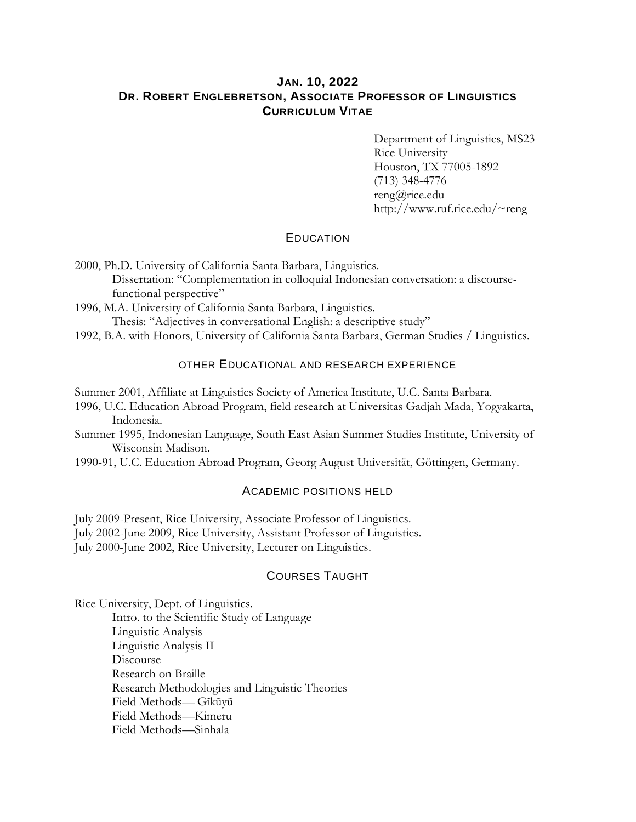# **JAN. 10, 2022 DR. ROBERT ENGLEBRETSON, ASSOCIATE PROFESSOR OF LINGUISTICS CURRICULUM VITAE**

Department of Linguistics, MS23 Rice University Houston, TX 77005-1892 (713) 348-4776 reng@rice.edu http://www.ruf.rice.edu/~reng

### **EDUCATION**

2000, Ph.D. University of California Santa Barbara, Linguistics. Dissertation: "Complementation in colloquial Indonesian conversation: a discoursefunctional perspective"

1996, M.A. University of California Santa Barbara, Linguistics. Thesis: "Adjectives in conversational English: a descriptive study"

1992, B.A. with Honors, University of California Santa Barbara, German Studies / Linguistics.

### OTHER EDUCATIONAL AND RESEARCH EXPERIENCE

Summer 2001, Affiliate at Linguistics Society of America Institute, U.C. Santa Barbara.

1996, U.C. Education Abroad Program, field research at Universitas Gadjah Mada, Yogyakarta, Indonesia.

Summer 1995, Indonesian Language, South East Asian Summer Studies Institute, University of Wisconsin Madison.

1990-91, U.C. Education Abroad Program, Georg August Universität, Göttingen, Germany.

# ACADEMIC POSITIONS HELD

July 2009-Present, Rice University, Associate Professor of Linguistics.

July 2002-June 2009, Rice University, Assistant Professor of Linguistics.

July 2000-June 2002, Rice University, Lecturer on Linguistics.

# COURSES TAUGHT

Rice University, Dept. of Linguistics.

Intro. to the Scientific Study of Language Linguistic Analysis Linguistic Analysis II Discourse Research on Braille Research Methodologies and Linguistic Theories Field Methods— Gĩkũyũ Field Methods—Kimeru Field Methods—Sinhala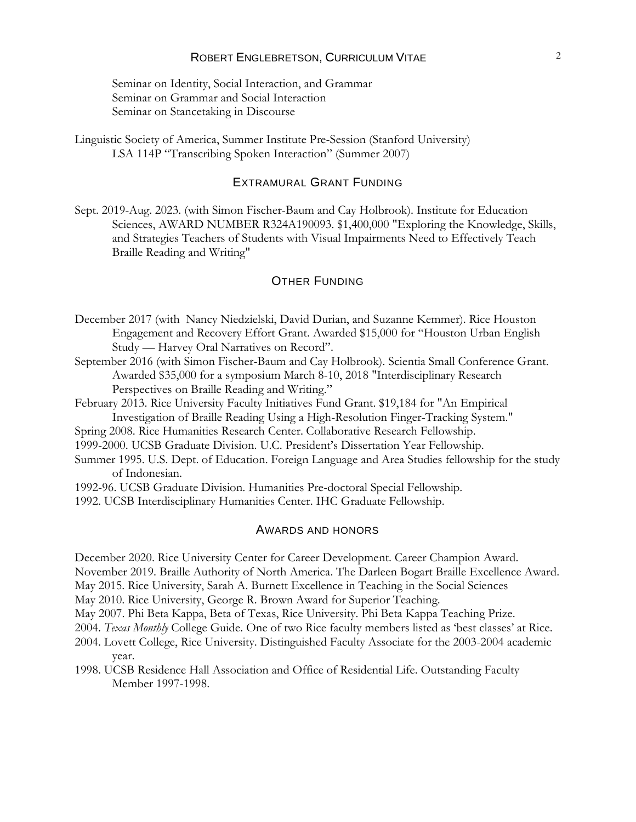### ROBERT ENGLEBRETSON, CURRICULUM VITAE 2

Seminar on Identity, Social Interaction, and Grammar Seminar on Grammar and Social Interaction Seminar on Stancetaking in Discourse

Linguistic Society of America, Summer Institute Pre-Session (Stanford University) LSA 114P "Transcribing Spoken Interaction" (Summer 2007)

### EXTRAMURAL GRANT FUNDING

Sept. 2019-Aug. 2023. (with Simon Fischer-Baum and Cay Holbrook). Institute for Education Sciences, AWARD NUMBER R324A190093. \$1,400,000 "Exploring the Knowledge, Skills, and Strategies Teachers of Students with Visual Impairments Need to Effectively Teach Braille Reading and Writing"

## OTHER FUNDING

- December 2017 (with Nancy Niedzielski, David Durian, and Suzanne Kemmer). Rice Houston Engagement and Recovery Effort Grant. Awarded \$15,000 for "Houston Urban English Study — Harvey Oral Narratives on Record".
- September 2016 (with Simon Fischer-Baum and Cay Holbrook). Scientia Small Conference Grant. Awarded \$35,000 for a symposium March 8-10, 2018 "Interdisciplinary Research Perspectives on Braille Reading and Writing."
- February 2013. Rice University Faculty Initiatives Fund Grant. \$19,184 for "An Empirical Investigation of Braille Reading Using a High-Resolution Finger-Tracking System."
- Spring 2008. Rice Humanities Research Center. Collaborative Research Fellowship.
- 1999-2000. UCSB Graduate Division. U.C. President's Dissertation Year Fellowship.
- Summer 1995. U.S. Dept. of Education. Foreign Language and Area Studies fellowship for the study of Indonesian.
- 1992-96. UCSB Graduate Division. Humanities Pre-doctoral Special Fellowship.
- 1992. UCSB Interdisciplinary Humanities Center. IHC Graduate Fellowship.

#### AWARDS AND HONORS

December 2020. Rice University Center for Career Development. Career Champion Award.

November 2019. Braille Authority of North America. The Darleen Bogart Braille Excellence Award.

May 2015. Rice University, Sarah A. Burnett Excellence in Teaching in the Social Sciences

May 2010. Rice University, George R. Brown Award for Superior Teaching.

- May 2007. Phi Beta Kappa, Beta of Texas, Rice University. Phi Beta Kappa Teaching Prize.
- 2004. *Texas Monthly* College Guide. One of two Rice faculty members listed as 'best classes' at Rice.
- 2004. Lovett College, Rice University. Distinguished Faculty Associate for the 2003-2004 academic year.
- 1998. UCSB Residence Hall Association and Office of Residential Life. Outstanding Faculty Member 1997-1998.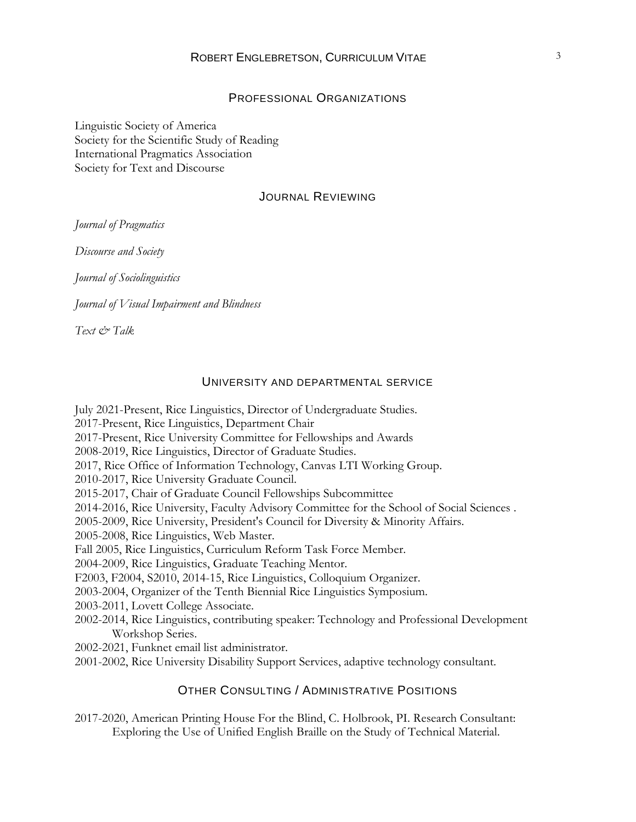### PROFESSIONAL ORGANIZATIONS

Linguistic Society of America Society for the Scientific Study of Reading International Pragmatics Association Society for Text and Discourse

#### JOURNAL REVIEWING

*Journal of Pragmatics*

*Discourse and Society*

*Journal of Sociolinguistics*

*Journal of Visual Impairment and Blindness*

*Text & Talk*

#### UNIVERSITY AND DEPARTMENTAL SERVICE

July 2021-Present, Rice Linguistics, Director of Undergraduate Studies. 2017-Present, Rice Linguistics, Department Chair 2017-Present, Rice University Committee for Fellowships and Awards 2008-2019, Rice Linguistics, Director of Graduate Studies. 2017, Rice Office of Information Technology, Canvas LTI Working Group. 2010-2017, Rice University Graduate Council. 2015-2017, Chair of Graduate Council Fellowships Subcommittee 2014-2016, Rice University, Faculty Advisory Committee for the School of Social Sciences . 2005-2009, Rice University, President's Council for Diversity & Minority Affairs. 2005-2008, Rice Linguistics, Web Master. Fall 2005, Rice Linguistics, Curriculum Reform Task Force Member. 2004-2009, Rice Linguistics, Graduate Teaching Mentor. F2003, F2004, S2010, 2014-15, Rice Linguistics, Colloquium Organizer. 2003-2004, Organizer of the Tenth Biennial Rice Linguistics Symposium. 2003-2011, Lovett College Associate. 2002-2014, Rice Linguistics, contributing speaker: Technology and Professional Development Workshop Series. 2002-2021, Funknet email list administrator. 2001-2002, Rice University Disability Support Services, adaptive technology consultant.

# OTHER CONSULTING / ADMINISTRATIVE POSITIONS

2017-2020, American Printing House For the Blind, C. Holbrook, PI. Research Consultant: Exploring the Use of Unified English Braille on the Study of Technical Material.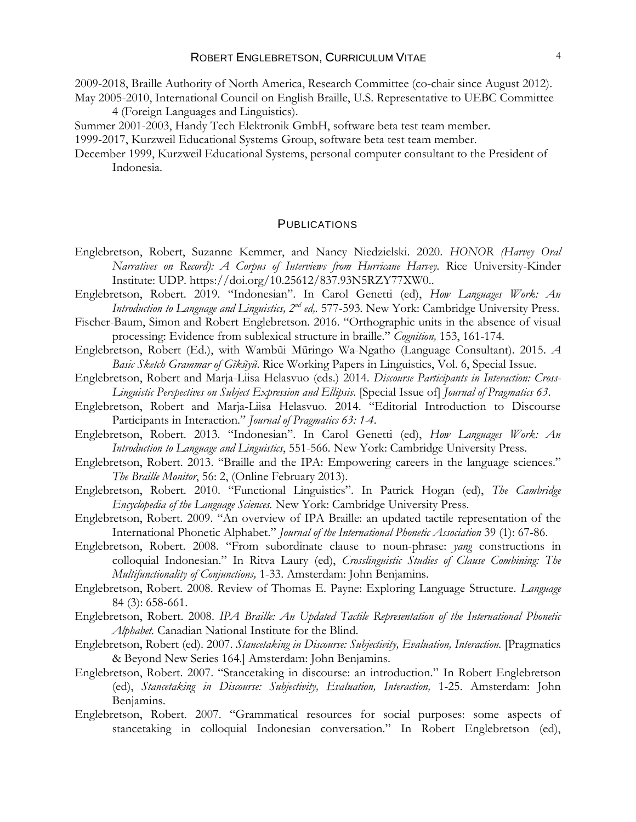- 2009-2018, Braille Authority of North America, Research Committee (co-chair since August 2012). May 2005-2010, International Council on English Braille, U.S. Representative to UEBC Committee
	- 4 (Foreign Languages and Linguistics).
- Summer 2001-2003, Handy Tech Elektronik GmbH, software beta test team member.

1999-2017, Kurzweil Educational Systems Group, software beta test team member.

December 1999, Kurzweil Educational Systems, personal computer consultant to the President of Indonesia.

#### **PUBLICATIONS**

- Englebretson, Robert, Suzanne Kemmer, and Nancy Niedzielski. 2020. *HONOR (Harvey Oral Narratives on Record): A Corpus of Interviews from Hurricane Harvey.* Rice University-Kinder Institute: UDP. https://doi.org/10.25612/837.93N5RZY77XW0..
- Englebretson, Robert. 2019. "Indonesian". In Carol Genetti (ed), *How Languages Work: An*  Introduction to Language and Linguistics, 2<sup>nd</sup> ed,. 577-593. New York: Cambridge University Press.
- Fischer-Baum, Simon and Robert Englebretson. 2016. "Orthographic units in the absence of visual processing: Evidence from sublexical structure in braille." *Cognition,* 153, 161-174.
- Englebretson, Robert (Ed.), with Wambũi Mũringo Wa-Ngatho (Language Consultant). 2015. *A Basic Sketch Grammar of Gĩkũyũ*. Rice Working Papers in Linguistics, Vol. 6, Special Issue.
- Englebretson, Robert and Marja-Liisa Helasvuo (eds.) 2014. *Discourse Participants in Interaction: Cross-Linguistic Perspectives on Subject Expression and Ellipsis*. [Special Issue of] *Journal of Pragmatics 63*.
- Englebretson, Robert and Marja-Liisa Helasvuo. 2014. "Editorial Introduction to Discourse Participants in Interaction." *Journal of Pragmatics 63: 1-4*.
- Englebretson, Robert. 2013. "Indonesian". In Carol Genetti (ed), *How Languages Work: An Introduction to Language and Linguistics*, 551-566*.* New York: Cambridge University Press.
- Englebretson, Robert. 2013. "Braille and the IPA: Empowering careers in the language sciences." *The Braille Monitor*, 56: 2, (Online February 2013).
- Englebretson, Robert. 2010. "Functional Linguistics". In Patrick Hogan (ed), *The Cambridge Encyclopedia of the Language Sciences.* New York: Cambridge University Press.
- Englebretson, Robert. 2009. "An overview of IPA Braille: an updated tactile representation of the International Phonetic Alphabet." *Journal of the International Phonetic Association* 39 (1): 67-86.
- Englebretson, Robert. 2008. "From subordinate clause to noun-phrase: *yang* constructions in colloquial Indonesian." In Ritva Laury (ed), *Crosslinguistic Studies of Clause Combining: The Multifunctionality of Conjunctions,* 1-33. Amsterdam: John Benjamins.
- Englebretson, Robert. 2008. Review of Thomas E. Payne: Exploring Language Structure. *Language* 84 (3): 658-661.
- Englebretson, Robert. 2008. *IPA Braille: An Updated Tactile Representation of the International Phonetic Alphabet.* Canadian National Institute for the Blind.
- Englebretson, Robert (ed). 2007. *Stancetaking in Discourse: Subjectivity, Evaluation, Interaction.* [Pragmatics & Beyond New Series 164.] Amsterdam: John Benjamins.
- Englebretson, Robert. 2007. "Stancetaking in discourse: an introduction." In Robert Englebretson (ed), *Stancetaking in Discourse: Subjectivity, Evaluation, Interaction,* 1-25. Amsterdam: John Benjamins.
- Englebretson, Robert. 2007. "Grammatical resources for social purposes: some aspects of stancetaking in colloquial Indonesian conversation." In Robert Englebretson (ed),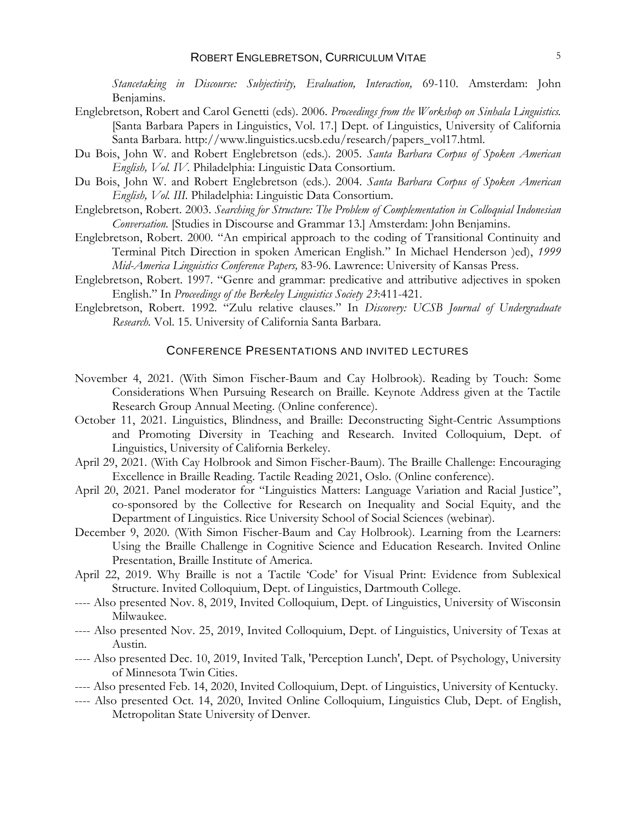*Stancetaking in Discourse: Subjectivity, Evaluation, Interaction,* 69-110. Amsterdam: John Benjamins.

- Englebretson, Robert and Carol Genetti (eds). 2006. *Proceedings from the Workshop on Sinhala Linguistics.* [Santa Barbara Papers in Linguistics, Vol. 17.] Dept. of Linguistics, University of California Santa Barbara. http://www.linguistics.ucsb.edu/research/papers\_vol17.html.
- Du Bois, John W. and Robert Englebretson (eds.). 2005. *Santa Barbara Corpus of Spoken American English, Vol. IV.* Philadelphia: Linguistic Data Consortium.
- Du Bois, John W. and Robert Englebretson (eds.). 2004. *Santa Barbara Corpus of Spoken American English, Vol. III.* Philadelphia: Linguistic Data Consortium.
- Englebretson, Robert. 2003. *Searching for Structure: The Problem of Complementation in Colloquial Indonesian Conversation.* [Studies in Discourse and Grammar 13.] Amsterdam: John Benjamins.
- Englebretson, Robert. 2000. "An empirical approach to the coding of Transitional Continuity and Terminal Pitch Direction in spoken American English." In Michael Henderson )ed), *1999 Mid-America Linguistics Conference Papers,* 83-96. Lawrence: University of Kansas Press.
- Englebretson, Robert. 1997. "Genre and grammar: predicative and attributive adjectives in spoken English." In *Proceedings of the Berkeley Linguistics Society 23*:411-421.
- Englebretson, Robert. 1992. "Zulu relative clauses." In *Discovery: UCSB Journal of Undergraduate Research.* Vol. 15. University of California Santa Barbara.

#### CONFERENCE PRESENTATIONS AND INVITED LECTURES

- November 4, 2021. (With Simon Fischer-Baum and Cay Holbrook). Reading by Touch: Some Considerations When Pursuing Research on Braille. Keynote Address given at the Tactile Research Group Annual Meeting. (Online conference).
- October 11, 2021. Linguistics, Blindness, and Braille: Deconstructing Sight-Centric Assumptions and Promoting Diversity in Teaching and Research. Invited Colloquium, Dept. of Linguistics, University of California Berkeley.
- April 29, 2021. (With Cay Holbrook and Simon Fischer-Baum). The Braille Challenge: Encouraging Excellence in Braille Reading. Tactile Reading 2021, Oslo. (Online conference).
- April 20, 2021. Panel moderator for "Linguistics Matters: Language Variation and Racial Justice", co-sponsored by the Collective for Research on Inequality and Social Equity, and the Department of Linguistics. Rice University School of Social Sciences (webinar).
- December 9, 2020. (With Simon Fischer-Baum and Cay Holbrook). Learning from the Learners: Using the Braille Challenge in Cognitive Science and Education Research. Invited Online Presentation, Braille Institute of America.
- April 22, 2019. Why Braille is not a Tactile 'Code' for Visual Print: Evidence from Sublexical Structure. Invited Colloquium, Dept. of Linguistics, Dartmouth College.
- ---- Also presented Nov. 8, 2019, Invited Colloquium, Dept. of Linguistics, University of Wisconsin Milwaukee.
- ---- Also presented Nov. 25, 2019, Invited Colloquium, Dept. of Linguistics, University of Texas at Austin.
- ---- Also presented Dec. 10, 2019, Invited Talk, 'Perception Lunch', Dept. of Psychology, University of Minnesota Twin Cities.
- ---- Also presented Feb. 14, 2020, Invited Colloquium, Dept. of Linguistics, University of Kentucky.
- ---- Also presented Oct. 14, 2020, Invited Online Colloquium, Linguistics Club, Dept. of English, Metropolitan State University of Denver.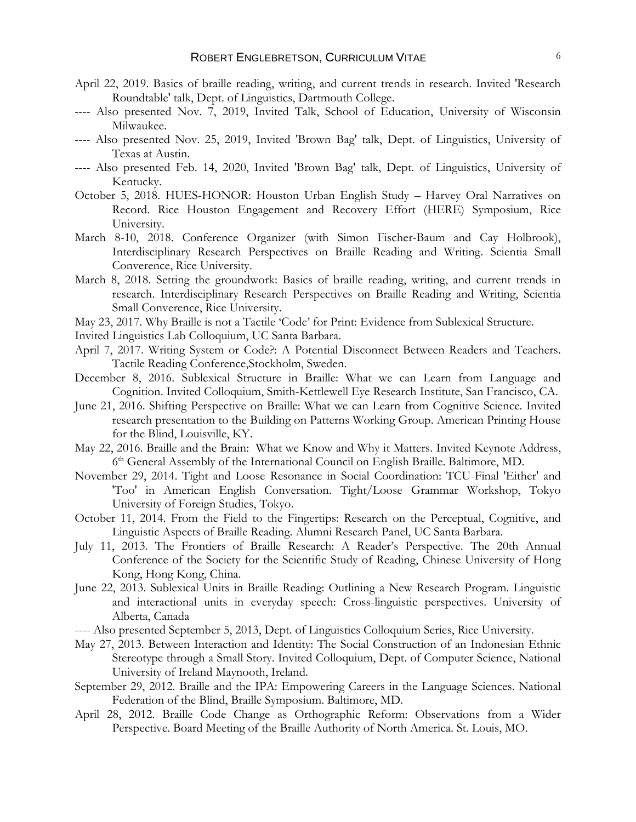- April 22, 2019. Basics of braille reading, writing, and current trends in research. Invited 'Research Roundtable' talk, Dept. of Linguistics, Dartmouth College.
- ---- Also presented Nov. 7, 2019, Invited Talk, School of Education, University of Wisconsin Milwaukee.
- ---- Also presented Nov. 25, 2019, Invited 'Brown Bag' talk, Dept. of Linguistics, University of Texas at Austin.
- ---- Also presented Feb. 14, 2020, Invited 'Brown Bag' talk, Dept. of Linguistics, University of Kentucky.
- October 5, 2018. HUES-HONOR: Houston Urban English Study Harvey Oral Narratives on Record. Rice Houston Engagement and Recovery Effort (HERE) Symposium, Rice University.
- March 8-10, 2018. Conference Organizer (with Simon Fischer-Baum and Cay Holbrook), Interdisciplinary Research Perspectives on Braille Reading and Writing. Scientia Small Converence, Rice University.
- March 8, 2018. Setting the groundwork: Basics of braille reading, writing, and current trends in research. Interdisciplinary Research Perspectives on Braille Reading and Writing, Scientia Small Converence, Rice University.
- May 23, 2017. Why Braille is not a Tactile 'Code' for Print: Evidence from Sublexical Structure.
- Invited Linguistics Lab Colloquium, UC Santa Barbara.
- April 7, 2017. Writing System or Code?: A Potential Disconnect Between Readers and Teachers. Tactile Reading Conference,Stockholm, Sweden.
- December 8, 2016. Sublexical Structure in Braille: What we can Learn from Language and Cognition. Invited Colloquium, Smith-Kettlewell Eye Research Institute, San Francisco, CA.
- June 21, 2016. Shifting Perspective on Braille: What we can Learn from Cognitive Science. Invited research presentation to the Building on Patterns Working Group. American Printing House for the Blind, Louisville, KY.
- May 22, 2016. Braille and the Brain: What we Know and Why it Matters. Invited Keynote Address, 6<sup>th</sup> General Assembly of the International Council on English Braille. Baltimore, MD.
- November 29, 2014. Tight and Loose Resonance in Social Coordination: TCU-Final 'Either' and 'Too' in American English Conversation. Tight/Loose Grammar Workshop, Tokyo University of Foreign Studies, Tokyo.
- October 11, 2014. From the Field to the Fingertips: Research on the Perceptual, Cognitive, and Linguistic Aspects of Braille Reading. Alumni Research Panel, UC Santa Barbara.
- July 11, 2013. The Frontiers of Braille Research: A Reader's Perspective. The 20th Annual Conference of the Society for the Scientific Study of Reading, Chinese University of Hong Kong, Hong Kong, China.
- June 22, 2013. Sublexical Units in Braille Reading: Outlining a New Research Program. Linguistic and interactional units in everyday speech: Cross-linguistic perspectives. University of Alberta, Canada
- ---- Also presented September 5, 2013, Dept. of Linguistics Colloquium Series, Rice University.
- May 27, 2013. Between Interaction and Identity: The Social Construction of an Indonesian Ethnic Stereotype through a Small Story. Invited Colloquium, Dept. of Computer Science, National University of Ireland Maynooth, Ireland.
- September 29, 2012. Braille and the IPA: Empowering Careers in the Language Sciences. National Federation of the Blind, Braille Symposium. Baltimore, MD.
- April 28, 2012. Braille Code Change as Orthographic Reform: Observations from a Wider Perspective. Board Meeting of the Braille Authority of North America. St. Louis, MO.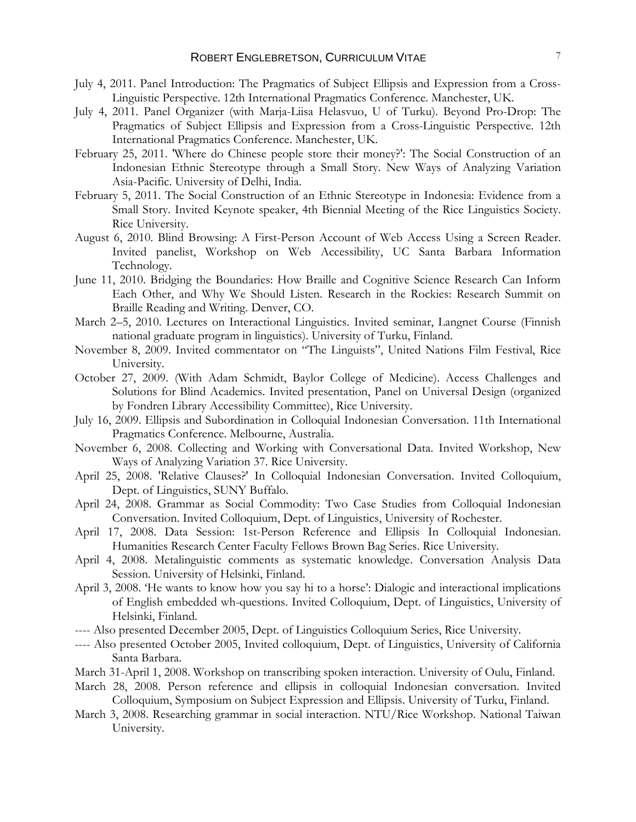- July 4, 2011. Panel Introduction: The Pragmatics of Subject Ellipsis and Expression from a Cross-Linguistic Perspective. 12th International Pragmatics Conference. Manchester, UK.
- July 4, 2011. Panel Organizer (with Marja-Liisa Helasvuo, U of Turku). Beyond Pro-Drop: The Pragmatics of Subject Ellipsis and Expression from a Cross-Linguistic Perspective. 12th International Pragmatics Conference. Manchester, UK.
- February 25, 2011. 'Where do Chinese people store their money?': The Social Construction of an Indonesian Ethnic Stereotype through a Small Story. New Ways of Analyzing Variation Asia-Pacific. University of Delhi, India.
- February 5, 2011. The Social Construction of an Ethnic Stereotype in Indonesia: Evidence from a Small Story. Invited Keynote speaker, 4th Biennial Meeting of the Rice Linguistics Society. Rice University.
- August 6, 2010. Blind Browsing: A First-Person Account of Web Access Using a Screen Reader. Invited panelist, Workshop on Web Accessibility, UC Santa Barbara Information Technology.
- June 11, 2010. Bridging the Boundaries: How Braille and Cognitive Science Research Can Inform Each Other, and Why We Should Listen. Research in the Rockies: Research Summit on Braille Reading and Writing. Denver, CO.
- March 2–5, 2010. Lectures on Interactional Linguistics. Invited seminar, Langnet Course (Finnish national graduate program in linguistics). University of Turku, Finland.
- November 8, 2009. Invited commentator on "The Linguists", United Nations Film Festival, Rice University.
- October 27, 2009. (With Adam Schmidt, Baylor College of Medicine). Access Challenges and Solutions for Blind Academics. Invited presentation, Panel on Universal Design (organized by Fondren Library Accessibility Committee), Rice University.
- July 16, 2009. Ellipsis and Subordination in Colloquial Indonesian Conversation. 11th International Pragmatics Conference. Melbourne, Australia.
- November 6, 2008. Collecting and Working with Conversational Data. Invited Workshop, New Ways of Analyzing Variation 37. Rice University.
- April 25, 2008. 'Relative Clauses?' In Colloquial Indonesian Conversation. Invited Colloquium, Dept. of Linguistics, SUNY Buffalo.
- April 24, 2008. Grammar as Social Commodity: Two Case Studies from Colloquial Indonesian Conversation. Invited Colloquium, Dept. of Linguistics, University of Rochester.
- April 17, 2008. Data Session: 1st-Person Reference and Ellipsis In Colloquial Indonesian. Humanities Research Center Faculty Fellows Brown Bag Series. Rice University.
- April 4, 2008. Metalinguistic comments as systematic knowledge. Conversation Analysis Data Session. University of Helsinki, Finland.
- April 3, 2008. 'He wants to know how you say hi to a horse': Dialogic and interactional implications of English embedded wh-questions. Invited Colloquium, Dept. of Linguistics, University of Helsinki, Finland.
- ---- Also presented December 2005, Dept. of Linguistics Colloquium Series, Rice University.
- ---- Also presented October 2005, Invited colloquium, Dept. of Linguistics, University of California Santa Barbara.
- March 31-April 1, 2008. Workshop on transcribing spoken interaction. University of Oulu, Finland.
- March 28, 2008. Person reference and ellipsis in colloquial Indonesian conversation. Invited Colloquium, Symposium on Subject Expression and Ellipsis. University of Turku, Finland.
- March 3, 2008. Researching grammar in social interaction. NTU/Rice Workshop. National Taiwan University.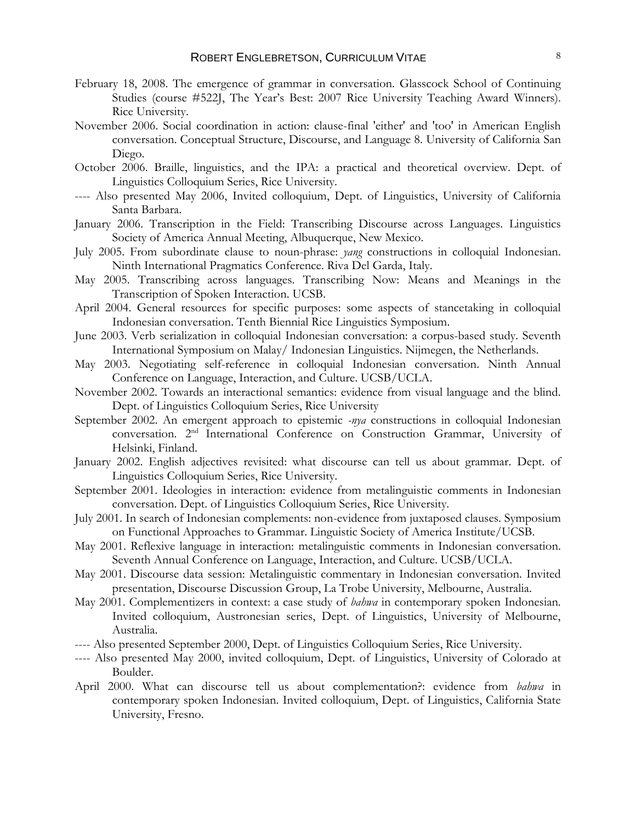- February 18, 2008. The emergence of grammar in conversation. Glasscock School of Continuing Studies (course #522J, The Year's Best: 2007 Rice University Teaching Award Winners). Rice University.
- November 2006. Social coordination in action: clause-final 'either' and 'too' in American English conversation. Conceptual Structure, Discourse, and Language 8. University of California San Diego.
- October 2006. Braille, linguistics, and the IPA: a practical and theoretical overview. Dept. of Linguistics Colloquium Series, Rice University.
- ---- Also presented May 2006, Invited colloquium, Dept. of Linguistics, University of California Santa Barbara.
- January 2006. Transcription in the Field: Transcribing Discourse across Languages. Linguistics Society of America Annual Meeting, Albuquerque, New Mexico.
- July 2005. From subordinate clause to noun-phrase: *yang* constructions in colloquial Indonesian. Ninth International Pragmatics Conference. Riva Del Garda, Italy.
- May 2005. Transcribing across languages. Transcribing Now: Means and Meanings in the Transcription of Spoken Interaction. UCSB.
- April 2004. General resources for specific purposes: some aspects of stancetaking in colloquial Indonesian conversation. Tenth Biennial Rice Linguistics Symposium.
- June 2003. Verb serialization in colloquial Indonesian conversation: a corpus-based study. Seventh International Symposium on Malay/ Indonesian Linguistics. Nijmegen, the Netherlands.
- May 2003. Negotiating self-reference in colloquial Indonesian conversation. Ninth Annual Conference on Language, Interaction, and Culture. UCSB/UCLA.
- November 2002. Towards an interactional semantics: evidence from visual language and the blind. Dept. of Linguistics Colloquium Series, Rice University
- September 2002. An emergent approach to epistemic *-nya* constructions in colloquial Indonesian conversation. 2nd International Conference on Construction Grammar, University of Helsinki, Finland.
- January 2002. English adjectives revisited: what discourse can tell us about grammar. Dept. of Linguistics Colloquium Series, Rice University.
- September 2001. Ideologies in interaction: evidence from metalinguistic comments in Indonesian conversation. Dept. of Linguistics Colloquium Series, Rice University.
- July 2001. In search of Indonesian complements: non-evidence from juxtaposed clauses. Symposium on Functional Approaches to Grammar. Linguistic Society of America Institute/UCSB.
- May 2001. Reflexive language in interaction: metalinguistic comments in Indonesian conversation. Seventh Annual Conference on Language, Interaction, and Culture. UCSB/UCLA.
- May 2001. Discourse data session: Metalinguistic commentary in Indonesian conversation. Invited presentation, Discourse Discussion Group, La Trobe University, Melbourne, Australia.
- May 2001. Complementizers in context: a case study of *bahwa* in contemporary spoken Indonesian. Invited colloquium, Austronesian series, Dept. of Linguistics, University of Melbourne, Australia.
- ---- Also presented September 2000, Dept. of Linguistics Colloquium Series, Rice University.
- ---- Also presented May 2000, invited colloquium, Dept. of Linguistics, University of Colorado at Boulder.
- April 2000. What can discourse tell us about complementation?: evidence from *bahwa* in contemporary spoken Indonesian. Invited colloquium, Dept. of Linguistics, California State University, Fresno.